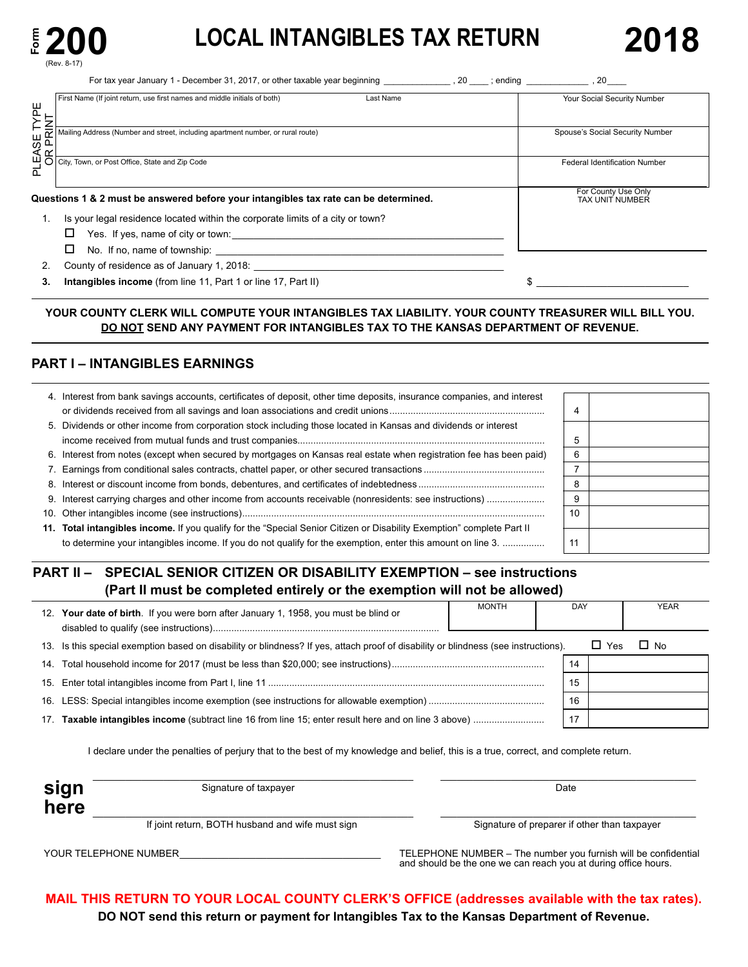

PLEASE 

# **LOCAL INTANGIBLES TAX RETURN**

**Federal Identification Number** 

For County Use Only TAX UNIT NUMBER

 $\frac{1}{2}$   $\frac{1}{2}$   $\frac{1}{2}$   $\frac{1}{2}$   $\frac{1}{2}$   $\frac{1}{2}$   $\frac{1}{2}$   $\frac{1}{2}$   $\frac{1}{2}$   $\frac{1}{2}$   $\frac{1}{2}$   $\frac{1}{2}$   $\frac{1}{2}$   $\frac{1}{2}$   $\frac{1}{2}$   $\frac{1}{2}$   $\frac{1}{2}$   $\frac{1}{2}$   $\frac{1}{2}$   $\frac{1}{2}$   $\frac{1}{2}$   $\frac{1}{2}$ 

For tax year January 1 - December 31, 2017, or other taxable year beginning 20 ending 20 PLEASE TYPE<br>OR PRINT OR PRINT First Name (If joint return, use first names and middle initials of both) Last Name Mailing Address (Number and street, including apartment number, or rural route) Your Social Security Number Spouse's Social Security Number  $\overline{a}$ , 20  $\overline{a}$ ; ending

### **Questions 1 & 2 must be answered before your intangibles tax rate can be determined.**

1. Is your legal residence located within the corporate limits of a city or town?

Yes. If yes, name of city or town o :\_\_\_\_\_\_\_\_\_\_\_\_\_\_\_\_\_\_\_\_\_\_\_\_\_\_\_\_\_\_\_\_\_\_\_\_\_\_\_\_\_\_\_\_\_\_\_\_\_\_

City, Town, or Post Office, State and Zip Code

 $\Box$  No. If no, name of township:  $\Box$ 

2. County of residence as of January 1, 2018: \_\_\_\_\_\_\_\_\_\_\_\_\_\_\_\_\_\_\_\_\_\_\_\_\_\_\_\_\_\_\_\_\_\_\_\_\_\_\_\_\_\_\_\_\_\_

**3.** Intangibles income (from line 11, Part 1 or line 17, Part II)

### **YOUR COUNTY CLERK WILL COMPUTE YOUR INTANGIBLES TAX LIABILITY. YOUR COUNTY TREASURER WILL BILL YOU. DO NOT SEND ANY PAYMENT FOR INTANGIBLES TAX TO THE KANSAS DEPARTMENT OF REVENUE.**

### **PART I – INTANGIBLES EARNINGS**

| 4. Interest from bank savings accounts, certificates of deposit, other time deposits, insurance companies, and interest |    |  |
|-------------------------------------------------------------------------------------------------------------------------|----|--|
|                                                                                                                         |    |  |
| 5. Dividends or other income from corporation stock including those located in Kansas and dividends or interest         |    |  |
|                                                                                                                         | 5  |  |
| 6. Interest from notes (except when secured by mortgages on Kansas real estate when registration fee has been paid)     | 6  |  |
|                                                                                                                         |    |  |
|                                                                                                                         | 8  |  |
|                                                                                                                         | 9  |  |
|                                                                                                                         | 10 |  |
| 11. Total intangibles income. If you qualify for the "Special Senior Citizen or Disability Exemption" complete Part II  |    |  |
| to determine your intangibles income. If you do not qualify for the exemption, enter this amount on line 3.             | 11 |  |

### **PART II – SPECIAL SENIOR CITIZEN OR DISABILITY EXEMPTION – see instructions (Part II must be completed entirely or the exemption will not be allowed)**

|     | 12. Your date of birth. If you were born after January 1, 1958, you must be blind or                                            | <b>MONTH</b> | DAY |     | <b>YEAR</b> |  |
|-----|---------------------------------------------------------------------------------------------------------------------------------|--------------|-----|-----|-------------|--|
| 13. | Is this special exemption based on disability or blindness? If yes, attach proof of disability or blindness (see instructions). |              |     | Yes | $\Box$ No   |  |
|     |                                                                                                                                 |              | 14  |     |             |  |
|     |                                                                                                                                 |              | 15  |     |             |  |
|     |                                                                                                                                 |              | 16  |     |             |  |
| 17. |                                                                                                                                 |              | 17  |     |             |  |

I declare under the penalties of perjury that to the best of my knowledge and belief, this is a true, correct, and complete return.

| Signature of taxpayer                            | Date                                         |
|--------------------------------------------------|----------------------------------------------|
|                                                  |                                              |
| If joint return, BOTH husband and wife must sign | Signature of preparer if other than taxpayer |

\_\_\_\_\_\_\_\_\_\_\_\_\_\_\_\_\_\_\_\_\_\_\_\_\_\_\_\_\_\_\_\_\_\_\_\_\_

YOUR TELEPHONE NUMBER CONFIDENTIAL CONFIDENTIAL TELEPHONE NUMBER - The number you furnish will be confidential and should be the one we can reach you at during office hours.

**MAIL THIS RETURN TO YOUR LOCAL COUNTY CLERK'S OFFICE (addresses available with the tax rates). DO NOT send this return or payment for Intangibles Tax to the Kansas Department of Revenue.**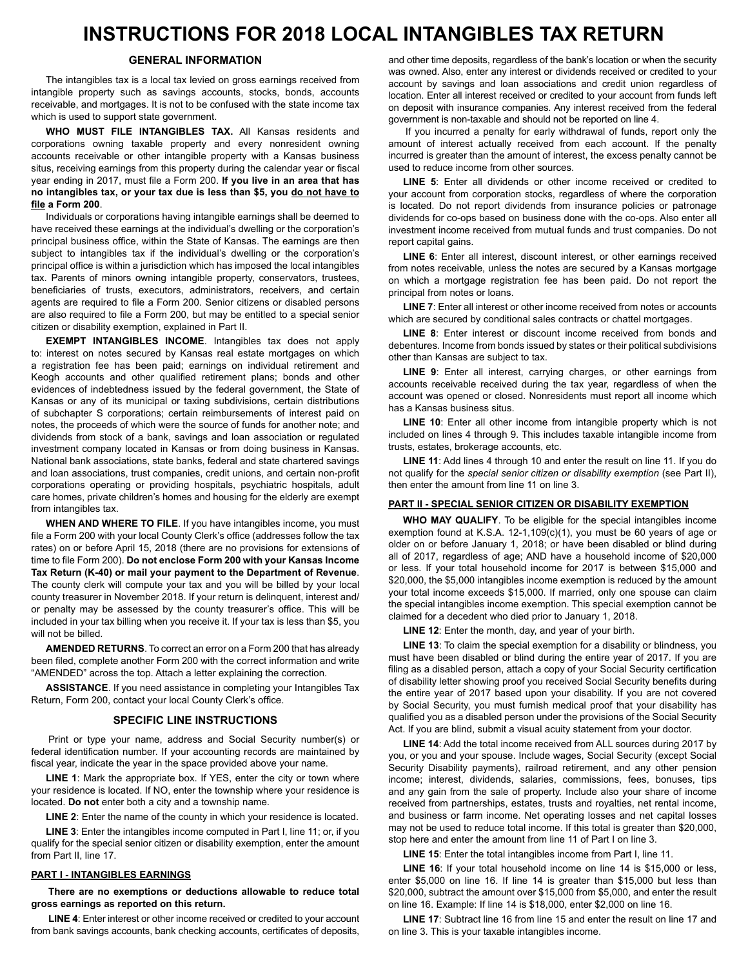## **INSTRUCTIONS FOR 2018 LOCAL INTANGIBLES TAX RETURN**

### **GENERAL INFORMATION**

The intangibles tax is a local tax levied on gross earnings received from intangible property such as savings accounts, stocks, bonds, accounts receivable, and mortgages. It is not to be confused with the state income tax which is used to support state government.

WHO MUST FILE INTANGIBLES TAX. All Kansas residents and corporations owning taxable property and every nonresident owning accounts receivable or other intangible property with a Kansas business situs, receiving earnings from this property during the calendar year or fiscal year ending in 2017, must file a Form 200. If you live in an area that has **no intangibles tax, or your tax due is less than \$5, you do not have to file a Form 200**.

Individuals or corporations having intangible earnings shall be deemed to have received these earnings at the individual's dwelling or the corporation's principal business office, within the State of Kansas. The earnings are then subject to intangibles tax if the individual's dwelling or the corporation's principal office is within a jurisdiction which has imposed the local intangibles tax. Parents of minors owning intangible property, conservators, trustees, beneficiaries of trusts, executors, administrators, receivers, and certain agents are required to file a Form 200. Senior citizens or disabled persons are also required to file a Form 200, but may be entitled to a special senior citizen or disability exemption, explained in Part II.

**EXEMPT INTANGIBLES INCOME**. Intangibles tax does not apply to: interest on notes secured by Kansas real estate mortgages on which a registration fee has been paid; earnings on individual retirement and Keogh accounts and other qualified retirement plans; bonds and other evidences of indebtedness issued by the federal government, the State of Kansas or any of its municipal or taxing subdivisions, certain distributions of subchapter S corporations; certain reimbursements of interest paid on notes, the proceeds of which were the source of funds for another note; and dividends from stock of a bank, savings and loan association or regulated investment company located in Kansas or from doing business in Kansas. National bank associations, state banks, federal and state chartered savings and loan associations, trust companies, credit unions, and certain non-profit corporations operating or providing hospitals, psychiatric hospitals, adult care homes, private children's homes and housing for the elderly are exempt from intangibles tax.

**WHEN AND WHERE TO FILE**. If you have intangibles income, you must file a Form 200 with your local County Clerk's office (addresses follow the tax rates) on or before April 15, 2018 (there are no provisions for extensions of time to file Form 200). Do not enclose Form 200 with your Kansas Income **Tax Return (K-40) or mail your payment to the Department of Revenue**. The county clerk will compute your tax and you will be billed by your local county treasurer in November 2018. If your return is delinquent, interest and/ or penalty may be assessed by the county treasurer's office. This will be included in your tax billing when you receive it. If your tax is less than \$5, you will not be billed.

**AMENDED RETURNS**. To correct an error on a Form 200 that has already been filed, complete another Form 200 with the correct information and write "AMENDED" across the top. Attach a letter explaining the correction.

**ASSISTANCE**. If you need assistance in completing your Intangibles Tax Return, Form 200, contact your local County Clerk's office.

### **SPECIFIC LINE INSTRUCTIONS**

Print or type your name, address and Social Security number(s) or federal identification number. If your accounting records are maintained by fiscal year, indicate the year in the space provided above your name.

**LINE 1**: Mark the appropriate box. If YES, enter the city or town where your residence is located. If NO, enter the township where your residence is located. **Do not** enter both a city and a township name.

**LINE 2:** Enter the name of the county in which your residence is located.

**LINE 3**: Enter the intangibles income computed in Part I, line 11; or, if you qualify for the special senior citizen or disability exemption, enter the amount from Part II, line 17.

### **PART I - INTANGIBLES EARNINGS**

**There are no exemptions or deductions allowable to reduce total gross earnings as reported on this return.**

**LINE 4:** Enter interest or other income received or credited to your account from bank savings accounts, bank checking accounts, certificates of deposits, and other time deposits, regardless of the bank's location or when the security was owned. Also, enter any interest or dividends received or credited to your account by savings and loan associations and credit union regardless of location. Enter all interest received or credited to your account from funds left on deposit with insurance companies. Any interest received from the federal government is non-taxable and should not be reported on line 4.

If you incurred a penalty for early withdrawal of funds, report only the amount of interest actually received from each account. If the penalty incurred is greater than the amount of interest, the excess penalty cannot be used to reduce income from other sources.

LINE 5: Enter all dividends or other income received or credited to your account from corporation stocks, regardless of where the corporation is located. Do not report dividends from insurance policies or patronage dividends for co-ops based on business done with the co-ops. Also enter all investment income received from mutual funds and trust companies. Do not report capital gains.

**LINE 6**: Enter all interest, discount interest, or other earnings received from notes receivable, unless the notes are secured by a Kansas mortgage on which a mortgage registration fee has been paid. Do not report the principal from notes or loans.

**LINE 7:** Enter all interest or other income received from notes or accounts which are secured by conditional sales contracts or chattel mortgages.

**LINE 8:** Enter interest or discount income received from bonds and debentures. Income from bonds issued by states or their political subdivisions other than Kansas are subject to tax.

LINE 9: Enter all interest, carrying charges, or other earnings from accounts receivable received during the tax year, regardless of when the account was opened or closed. Nonresidents must report all income which has a Kansas business situs.

**LINE 10**: Enter all other income from intangible property which is not included on lines 4 through 9. This includes taxable intangible income from trusts, estates, brokerage accounts, etc.

**LINE 11:** Add lines 4 through 10 and enter the result on line 11. If you do not qualify for the *special senior citizen or disability exemption* (see Part II), then enter the amount from line 11 on line 3.

### **PART II - SPECIAL SENIOR CITIZEN OR DISABILITY EXEMPTION**

**WHO MAY QUALIFY**. To be eligible for the special intangibles income exemption found at K.S.A.  $12-1,109(c)(1)$ , you must be 60 years of age or older on or before January 1, 2018; or have been disabled or blind during all of 2017, regardless of age; AND have a household income of \$20,000 or less. If your total household income for 2017 is between \$15,000 and \$20,000, the \$5,000 intangibles income exemption is reduced by the amount your total income exceeds \$15,000. If married, only one spouse can claim the special intangibles income exemption. This special exemption cannot be claimed for a decedent who died prior to January 1, 2018.

LINE 12: Enter the month, day, and year of your birth.

**LINE 13:** To claim the special exemption for a disability or blindness, you must have been disabled or blind during the entire year of 2017. If you are filing as a disabled person, attach a copy of your Social Security certification of disability letter showing proof you received Social Security benefits during the entire year of 2017 based upon your disability. If you are not covered by Social Security, you must furnish medical proof that your disability has qualified you as a disabled person under the provisions of the Social Security Act. If you are blind, submit a visual acuity statement from your doctor.

**LINE 14:** Add the total income received from ALL sources during 2017 by you, or you and your spouse. Include wages, Social Security (except Social Security Disability payments), railroad retirement, and any other pension income; interest, dividends, salaries, commissions, fees, bonuses, tips and any gain from the sale of property. Include also your share of income received from partnerships, estates, trusts and royalties, net rental income, and business or farm income. Net operating losses and net capital losses may not be used to reduce total income. If this total is greater than \$20,000, stop here and enter the amount from line 11 of Part I on line 3.

**LINE 15:** Enter the total intangibles income from Part I, line 11.

**LINE 16:** If your total household income on line 14 is \$15,000 or less, enter \$5,000 on line 16. If line 14 is greater than \$15,000 but less than \$20,000, subtract the amount over \$15,000 from \$5,000, and enter the result on line 16. Example: If line 14 is \$18,000, enter \$2,000 on line 16.

LINE 17: Subtract line 16 from line 15 and enter the result on line 17 and on line 3. This is your taxable intangibles income.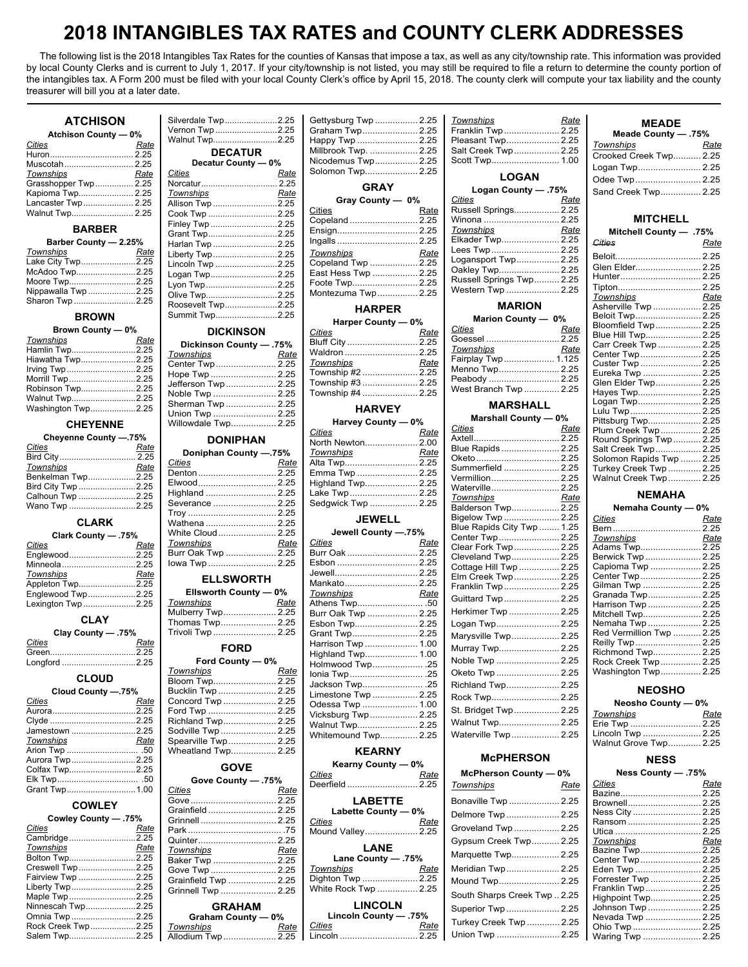## **2018 INTANGIBLES TAX RATES and COUNTY CLERK ADDRESSES**

The following list is the 2018 Intangibles Tax Rates for the counties of Kansas that impose a tax, as well as any city/township rate. This information was provided by local County Clerks and is current to July 1, 2017. If your city/township is not listed, you may still be required to file a return to determine the county portion of the intangibles tax. A Form 200 must be filed with your local County Clerk's office by April 15, 2018. The county clerk will compute your tax liability and the county treasurer will bill you at a later date.

### **ATCHISON**

| <b>Atchison County - 0%</b> |      |  |
|-----------------------------|------|--|
| Cities                      | Rate |  |
|                             |      |  |
|                             |      |  |
| Townships                   | Rate |  |
| Grasshopper Twp 2.25        |      |  |
| Kapioma Twp 2.25            |      |  |
| Lancaster Twp  2.25         |      |  |
| Walnut Twp 2.25             |      |  |

### **BARBER**

| Barber County - 2.25% |      |  |
|-----------------------|------|--|
| Townships             | Rate |  |
| Lake City Twp2.25     |      |  |
| McAdoo Twp2.25        |      |  |
| Moore Twp2.25         |      |  |
| Nippawalla Twp 2.25   |      |  |
| Sharon Twp 2.25       |      |  |

#### **BROWN**

| Brown County - 0%  |      |
|--------------------|------|
| Townships          | Rate |
| Hamlin Twp2.25     |      |
| Hiawatha Twp2.25   |      |
| Irving Twp2.25     |      |
| Morrill Twp2.25    |      |
| Robinson Twp2.25   |      |
| Walnut Twp2.25     |      |
| Washington Twp2.25 |      |

### **CHEYENNE**

| Cheyenne County -.75% |      |  |
|-----------------------|------|--|
| Cities                | Rate |  |
|                       |      |  |
| Townships             | Rate |  |
| Benkelman Twp2.25     |      |  |
| Bird City Twp 2.25    |      |  |
| Calhoun Twp 2.25      |      |  |
| Wano Twp 2.25         |      |  |

### **CLARK**

| .75% - Clark County |  |  |
|---------------------|--|--|
| Rate                |  |  |
| Englewood2.25       |  |  |
|                     |  |  |
| Rate                |  |  |
| Appleton Twp2.25    |  |  |
| Englewood Twp2.25   |  |  |
| Lexington Twp 2.25  |  |  |
|                     |  |  |

#### **CLAY**

| Clay County - .75% |      |  |
|--------------------|------|--|
| Cities             | Rate |  |
|                    |      |  |
| Longford 2.25      |      |  |

### **CLOUD**

| Cloud County -.75% |      |  |
|--------------------|------|--|
| Cities             | Rate |  |
|                    |      |  |
|                    |      |  |
| Jamestown 2.25     |      |  |
| Townships          | Rate |  |
|                    |      |  |
| Aurora Twp2.25     |      |  |
| Colfax Twp2.25     |      |  |
|                    |      |  |
| Grant Twp1.00      |      |  |

### **COWLEY**

| 75%. Cowley County - .75% |      |  |
|---------------------------|------|--|
| Cities                    | Rate |  |
| Cambridge2.25             |      |  |
| <b>Townships</b>          | Rate |  |
| Bolton Twp2.25            |      |  |
| Creswell Twp 2.25         |      |  |
| Fairview Twp 2.25         |      |  |
| Liberty Twp2.25           |      |  |
| Maple Twp2.25             |      |  |
| Ninnescah Twp2.25         |      |  |
| Omnia Twp 2.25            |      |  |
| Rock Creek Twp2.25        |      |  |
| Salem Twp2.25             |      |  |

| Silverdale Twp2.25  |      |
|---------------------|------|
| Vernon Twp 2.25     |      |
| Walnut Twp2.25      |      |
| <b>DECATUR</b>      |      |
| Decatur County - 0% |      |
| Cities              | Rate |
| Norcatur 2.25       |      |
| Townships           | Rate |
| Allison Twp 2.25    |      |
| Cook Twp 2.25       |      |
| Finley Twp 2.25     |      |
| Grant Twp2.25       |      |
| Harlan Twp 2.25     |      |
| Liberty Twp2.25     |      |
| Lincoln Twp 2.25    |      |
| Logan Twp2.25       |      |
| Lyon Twp 2.25       |      |
|                     |      |
| Olive Twp2.25       |      |
| Roosevelt Twp2.25   |      |
| Summit Twp2.25      |      |
|                     |      |

### **DICKINSON**

| Dickinson County - .75% |      |
|-------------------------|------|
| Townships               | Rate |
| Center Twp  2.25        |      |
| Hope Twp  2.25          |      |
| Jefferson Twp  2.25     |      |
| Noble Twp  2.25         |      |
| Sherman Twp  2.25       |      |
| Union Twp  2.25         |      |
| Willowdale Twp 2.25     |      |

### **DONIPHAN**

| Doniphan County -.75% |      |
|-----------------------|------|
| Cities                | Rate |
|                       |      |
| Elwood 2.25           |      |
| Highland  2.25        |      |
| Severance  2.25       |      |
|                       |      |
| Wathena  2.25         |      |
| White Cloud 2.25      |      |
| Townships             | Rate |
| Burr Oak Twp  2.25    |      |
| lowa Twp  2.25        |      |
| ו חומות               |      |

#### **ELLSWORTH Ellsworth County — 0%**

| $\mathsf{L}$ is worth county $\mathsf{U}$ to $\mathsf{V}$ |      |
|-----------------------------------------------------------|------|
| Townships                                                 | Rate |
| Mulberry Twp 2.25                                         |      |
| Thomas Twp 2.25                                           |      |
| Trivoli Twp  2.25                                         |      |
| <b>FORD</b>                                               |      |

### **Ford County — 0%**

| Townships           | Rate |
|---------------------|------|
| Bloom Twp 2.25      |      |
| Bucklin Twp  2.25   |      |
| Concord Twp  2.25   |      |
| Ford Twp  2.25      |      |
| Richland Twp 2.25   |      |
| Sodville Twp  2.25  |      |
| Spearville Twp 2.25 |      |
| Wheatland Twp 2.25  |      |
|                     |      |

### **GOVE**

| Gove County - 75%    |      |
|----------------------|------|
| Cities               | Rate |
|                      |      |
| Grainfield  2.25     |      |
|                      |      |
|                      |      |
| Quinter 2.25         |      |
| <b>Townships</b>     | Rate |
| Baker Twp  2.25      |      |
| Gove Twp  2.25       |      |
| Grainfield Twp  2.25 |      |
| Grinnell Twp  2.25   |      |
| <b>GRAHAM</b>        |      |
| Graham County - 0%   |      |
| <b>Townships</b>     | Rate |
| Allodium Twp 2.25    |      |

| Gettysburg Twp  2.25 |  |
|----------------------|--|
| Graham Twp 2.25      |  |
| Happy Twp  2.25      |  |
| Millbrook Twp.  2.25 |  |
| Nicodemus Twp 2.25   |  |
| Solomon Twp 2.25     |  |
| <b>GRAY</b>          |  |
| Gray County - 0%     |  |
| Rate                 |  |
|                      |  |

| <u>Cities</u>       | Rale |
|---------------------|------|
| Copeland  2.25      |      |
| Ensign 2.25         |      |
| Ingalls  2.25       |      |
| Townships           | Rate |
| Copeland Twp  2.25  |      |
| East Hess Twp  2.25 |      |
| Foote Twp 2.25      |      |
| Montezuma Twp 2.25  |      |
|                     |      |

#### **HARPER Harper County — 0%**

| $na$ i per Gourity — 0% |      |
|-------------------------|------|
| <b>Cities</b>           | Rate |
| Bluff City  2.25        |      |
| Waldron  2.25           |      |
| Townships               | Rate |
| Township #2  2.25       |      |
| Township #3  2.25       |      |
| Township #4  2.25       |      |
|                         |      |

### **HARVEY**

| Harvey County - 0% |      |
|--------------------|------|
| <b>Cities</b>      | Rate |
| North Newton 2.00  |      |
| <b>Townships</b>   | Rate |
| Alta Twp 2.25      |      |
| Emma Twp  2.25     |      |
| Highland Twp 2.25  |      |
| Lake Twp 2.25      |      |
| Sedgwick Twp  2.25 |      |
| - <i>.</i>         |      |

#### **JEWELL Jewell County —.75%**

| Cities              | Rate |
|---------------------|------|
| Burr Oak  2.25      |      |
|                     |      |
| Jewell 2.25         |      |
| Mankato 2.25        |      |
| Townships           | Rate |
|                     |      |
| Burr Oak Twp  2.25  |      |
| Esbon Twp 2.25      |      |
| Grant Twp 2.25      |      |
| Harrison Twp  1.00  |      |
| Highland Twp 1.00   |      |
| Holmwood Twp .25    |      |
| lonia Twp25         |      |
| Jackson Twp .25     |      |
| Limestone Twp  2.25 |      |
| Odessa Twp  1.00    |      |
| Vicksburg Twp 2.25  |      |
| Walnut Twp 2.25     |      |
| Whitemound Twp 2.25 |      |

### **KEARNY**

| Kearny County - 0%<br>Cities<br>Deerfield  2.25                                      | Rate |
|--------------------------------------------------------------------------------------|------|
| LABETTE<br>Labette County - 0%<br>Cities<br>Mound Valley 2.25                        | Rate |
| LANE<br>75%. - Lane County<br>Townships<br>Dighton Twp  2.25<br>White Rock Twp  2.25 | Rate |

### **LINCOLN**

| Lincoln County — .75% |      |
|-----------------------|------|
| Cities                | Rate |
| Lincoln  2.25         |      |

| Townships            | Rate |  |
|----------------------|------|--|
| Franklin Twp  2.25   |      |  |
| Pleasant Twp 2.25    |      |  |
| Salt Creek Twp 2.25  |      |  |
| Scott Twp 1.00       |      |  |
| <b>LOGAN</b>         |      |  |
| 75%. - Logan County  |      |  |
| Cities               | Rate |  |
| Russell Springs 2.25 |      |  |
| Minona               | つつに  |  |

| Winona  2.25             |      |
|--------------------------|------|
| Townships                | Rate |
| Elkader Twp 2.25         |      |
| Lees Twp 2.25            |      |
| Logansport Twp 2.25      |      |
| Oakley Twp 2.25          |      |
| Russell Springs Twp 2.25 |      |
| Western Twp  2.25        |      |
|                          |      |

### **MARION**

| Marion County - 0%    |      |
|-----------------------|------|
| Cities                | Rate |
| Goessel  2.25         |      |
| Townships             | Rate |
| Fairplay Twp  1.125   |      |
| Menno Twp 2.25        |      |
| Peabody  2.25         |      |
| West Branch Twp  2.25 |      |
|                       |      |

### **MARSHALL**

| Marshall County - 0%                            |      |
|-------------------------------------------------|------|
| Cities                                          | Rate |
|                                                 |      |
| Blue Rapids  2.25                               |      |
| Oketo 2.25                                      |      |
| Summerfield  2.25                               |      |
| Vermillion 2.25                                 |      |
| Waterville 2.25                                 |      |
| Townships                                       | Rate |
| Balderson Twp 2.25                              |      |
| Bigelow Twp  2.25<br>Blue Rapids City Twp  1.25 |      |
| Center Twp  2.25                                |      |
| Clear Fork Twp 2.25                             |      |
| Cleveland Twp 2.25                              |      |
| Cottage Hill Twp  2.25                          |      |
| Elm Creek Twp 2.25                              |      |
| Franklin Twp  2.25                              |      |
| Guittard Twp  2.25                              |      |
| Herkimer Twp  2.25                              |      |
| Logan Twp 2.25                                  |      |
| Marysville Twp 2.25                             |      |
| Murray Twp 2.25                                 |      |
| Noble Twp  2.25                                 |      |
| Oketo Twp  2.25                                 |      |
| Richland Twp 2.25                               |      |
| Rock Twp 2.25                                   |      |
| St. Bridget Twp  2.25                           |      |
| Walnut Twp 2.25                                 |      |
| Waterville Twp 2.25                             |      |

### **McPHERSON**

| McPherson County - 0%      |      |
|----------------------------|------|
| Townships                  | Rate |
| Bonaville Twp  2.25        |      |
| Delmore Twp  2.25          |      |
| Groveland Twp  2.25        |      |
| Gypsum Creek Twp 2.25      |      |
| Marquette Twp 2.25         |      |
| Meridian Twp 2.25          |      |
| Mound Twp 2.25             |      |
| South Sharps Creek Twp2.25 |      |
| Superior Twp  2.25         |      |
| Turkey Creek Twp  2.25     |      |
| Union Twp  2.25            |      |

| <b>MEADE</b><br>75%. — Meade County |      |
|-------------------------------------|------|
|                                     |      |
| Townships                           | Rate |
| Crooked Creek Twp 2.25              |      |
| Logan Twp 2.25                      |      |
|                                     |      |
| Sand Creek Twp 2.25                 |      |
|                                     |      |

### **MITCHELL**

| Mitchell County - .75%   |      |
|--------------------------|------|
| Cities                   | Rate |
| Beloit 2.25              |      |
| Glen Elder 2.25          |      |
| Hunter 2.25              |      |
| Tipton 2.25              |      |
| Townships                | Rate |
| Asherville Twp  2.25     |      |
| Beloit Twp 2.25          |      |
| Bloomfield Twp  2.25     |      |
| Blue Hill Twp 2.25       |      |
| Carr Creek Twp  2.25     |      |
| Center Twp 2.25          |      |
| Custer Twp  2.25         |      |
| Eureka Twp  2.25         |      |
| Glen Elder Twp 2.25      |      |
| Hayes Twp 2.25           |      |
| Logan Twp 2.25           |      |
| Lulu Twp  2.25           |      |
| Pittsburg Twp 2.25       |      |
| Plum Creek Twp 2.25      |      |
| Round Springs Twp 2.25   |      |
| Salt Creek Twp 2.25      |      |
| Solomon Rapids Twp  2.25 |      |
| Turkey Creek Twp  2.25   |      |

### Walnut Creek Twp............. 2.25 **NEMAHA**

### **Nemaha County — 0%**

| Cities                   | Rate |
|--------------------------|------|
|                          |      |
| Townships                | Rate |
| Adams Twp 2.25           |      |
| Berwick Twp  2.25        |      |
| Capioma Twp  2.25        |      |
| Center Twp 2.25          |      |
| Gilman Twp  2.25         |      |
| Granada Twp 2.25         |      |
| Harrison Twp  2.25       |      |
| Mitchell Twp 2.25        |      |
| Nemaha Twp  2.25         |      |
| Red Vermillion Twp  2.25 |      |
| Reilly Twp  2.25         |      |
| Richmond Twp 2.25        |      |
| Rock Creek Twp  2.25     |      |
| Washington Twp 2.25      |      |
|                          |      |

### **NEOSHO**

| Neosho County - 0%    |      |
|-----------------------|------|
| Townships             | Rate |
| Erie Twp  2.25        |      |
| Lincoln Twp  2.25     |      |
| Walnut Grove Twp 2.25 |      |

### **NESS**

### **Ness County — .75%**

| Cities              | Rate |
|---------------------|------|
|                     |      |
| Brownell 2.25       |      |
| Ness City  2.25     |      |
| Ransom  2.25        |      |
| Utica  2.25         |      |
| Townships           | Rate |
| Bazine Twp 2.25     |      |
| Center Twp 2.25     |      |
| Eden Twp  2.25      |      |
| Forrester Twp  2.25 |      |
| Franklin Twp 2.25   |      |
| Highpoint Twp 2.25  |      |
| Johnson Twp  2.25   |      |
| Nevada Twp  2.25    |      |
| Ohio Twp  2.25      |      |
| Waring Twp  2.25    |      |